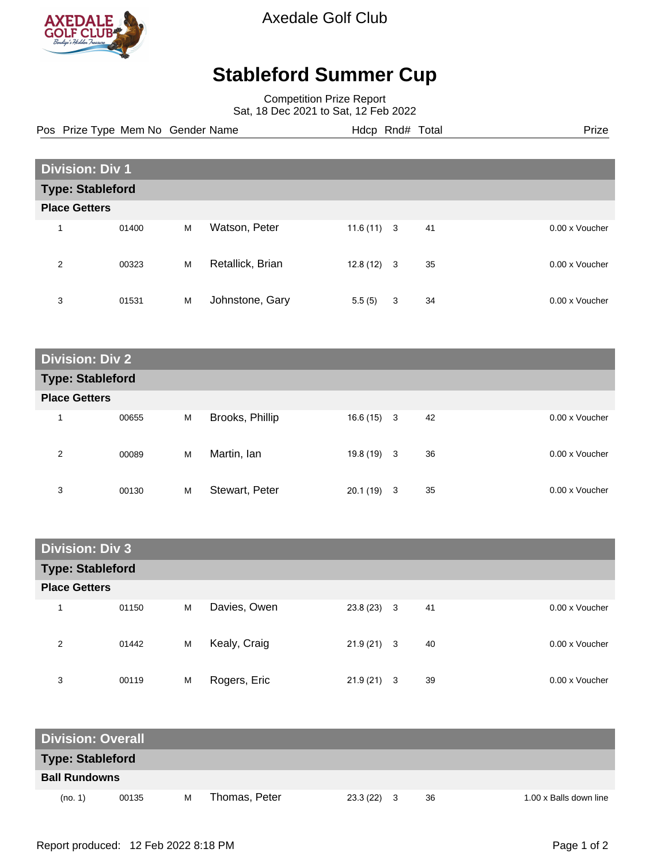

Axedale Golf Club

## **Stableford Summer Cup**

Competition Prize Report Sat, 18 Dec 2021 to Sat, 12 Feb 2022

Pos Prize Type Mem No Gender Name **Hdcp Rnd# Total** Prize Prize

| <b>Division: Div 1</b>  |       |   |                  |              |   |    |  |                |  |
|-------------------------|-------|---|------------------|--------------|---|----|--|----------------|--|
| <b>Type: Stableford</b> |       |   |                  |              |   |    |  |                |  |
| <b>Place Getters</b>    |       |   |                  |              |   |    |  |                |  |
| $\overline{ }$          | 01400 | M | Watson, Peter    | $11.6(11)$ 3 |   | 41 |  | 0.00 x Voucher |  |
| $\overline{2}$          | 00323 | M | Retallick, Brian | $12.8(12)$ 3 |   | 35 |  | 0.00 x Voucher |  |
| 3                       | 01531 | M | Johnstone, Gary  | 5.5(5)       | 3 | 34 |  | 0.00 x Voucher |  |

| <b>Division: Div 2</b>  |       |   |                 |              |    |                |  |  |
|-------------------------|-------|---|-----------------|--------------|----|----------------|--|--|
| <b>Type: Stableford</b> |       |   |                 |              |    |                |  |  |
| <b>Place Getters</b>    |       |   |                 |              |    |                |  |  |
| $\overline{\mathbf{A}}$ | 00655 | M | Brooks, Phillip | $16.6(15)$ 3 | 42 | 0.00 x Voucher |  |  |
| 2                       | 00089 | M | Martin, lan     | $19.8(19)$ 3 | 36 | 0.00 x Voucher |  |  |
| 3                       | 00130 | M | Stewart, Peter  | $20.1(19)$ 3 | 35 | 0.00 x Voucher |  |  |

| <b>Division: Div 3</b>  |       |   |              |              |    |                |  |  |
|-------------------------|-------|---|--------------|--------------|----|----------------|--|--|
| <b>Type: Stableford</b> |       |   |              |              |    |                |  |  |
| <b>Place Getters</b>    |       |   |              |              |    |                |  |  |
| и                       | 01150 | M | Davies, Owen | $23.8(23)$ 3 | 41 | 0.00 x Voucher |  |  |
| 2                       | 01442 | M | Kealy, Craig | $21.9(21)$ 3 | 40 | 0.00 x Voucher |  |  |
| 3                       | 00119 | M | Rogers, Eric | $21.9(21)$ 3 | 39 | 0.00 x Voucher |  |  |

| <b>Division: Overall</b> |       |   |               |              |  |    |                        |
|--------------------------|-------|---|---------------|--------------|--|----|------------------------|
| <b>Type: Stableford</b>  |       |   |               |              |  |    |                        |
| <b>Ball Rundowns</b>     |       |   |               |              |  |    |                        |
| (no. 1)                  | 00135 | м | Thomas, Peter | $23.3(22)$ 3 |  | 36 | 1.00 x Balls down line |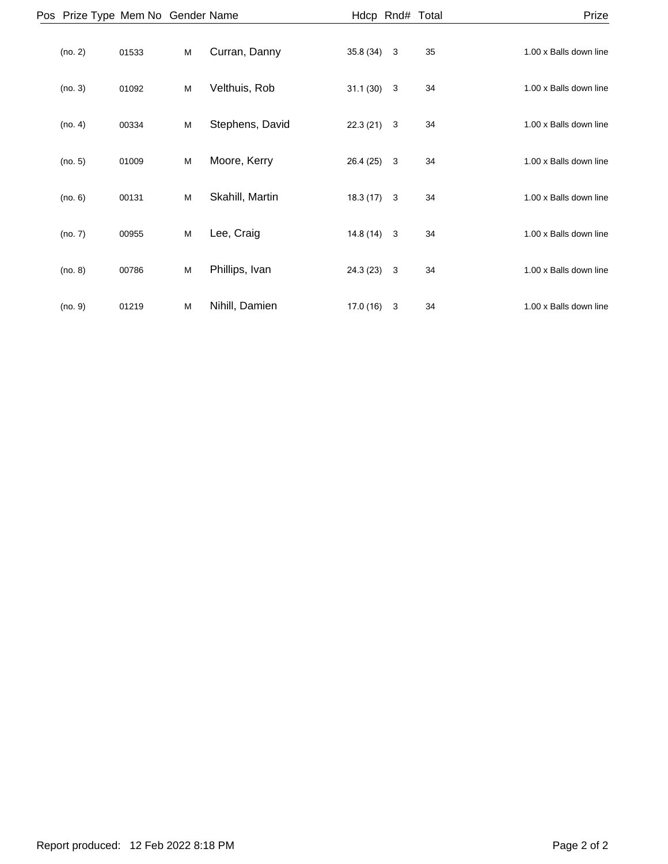| Prize                  |    |              | Hdcp Rnd# Total |                 |   |       | Pos Prize Type Mem No Gender Name |  |
|------------------------|----|--------------|-----------------|-----------------|---|-------|-----------------------------------|--|
| 1.00 x Balls down line | 35 | $\mathbf{3}$ | 35.8 (34)       | Curran, Danny   | M | 01533 | (no. 2)                           |  |
| 1.00 x Balls down line | 34 | 3            | 31.1(30)        | Velthuis, Rob   | M | 01092 | (no. 3)                           |  |
| 1.00 x Balls down line | 34 | 3            | 22.3(21)        | Stephens, David | M | 00334 | (no. 4)                           |  |
| 1.00 x Balls down line | 34 | 3            | 26.4 (25)       | Moore, Kerry    | M | 01009 | (no. 5)                           |  |
| 1.00 x Balls down line | 34 | 3            | 18.3(17)        | Skahill, Martin | M | 00131 | (no. 6)                           |  |
| 1.00 x Balls down line | 34 |              | $14.8(14)$ 3    | Lee, Craig      | M | 00955 | (no. 7)                           |  |
| 1.00 x Balls down line | 34 | 3            | 24.3 (23)       | Phillips, Ivan  | M | 00786 | (no. 8)                           |  |
| 1.00 x Balls down line | 34 | 3            | 17.0(16)        | Nihill, Damien  | M | 01219 | (no. 9)                           |  |